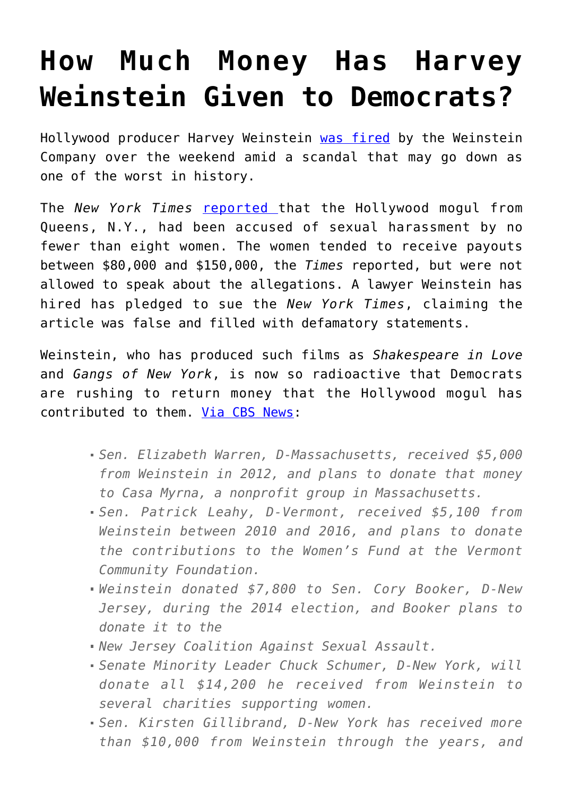## **[How Much Money Has Harvey](https://intellectualtakeout.org/2017/10/how-much-money-has-harvey-weinstein-given-to-democrats/) [Weinstein Given to Democrats?](https://intellectualtakeout.org/2017/10/how-much-money-has-harvey-weinstein-given-to-democrats/)**

Hollywood producer Harvey Weinstein [was fired](https://www.nytimes.com/2017/10/08/business/harvey-weinstein-fired.html) by the Weinstein Company over the weekend amid a scandal that may go down as one of the worst in history.

The *New York Times* [reported](http://Sen. Martin Heinrich, D-New Mexico, received funds from Weinstein most recently, in April. His campaign has pledged to donate Weinstein) that the Hollywood mogul from Queens, N.Y., had been accused of sexual harassment by no fewer than eight women. The women tended to receive payouts between \$80,000 and \$150,000, the *Times* reported, but were not allowed to speak about the allegations. A lawyer Weinstein has hired has pledged to sue the *New York Times*, claiming the article was false and filled with defamatory statements.

Weinstein, who has produced such films as *Shakespeare in Love* and *Gangs of New York*, is now so radioactive that Democrats are rushing to return money that the Hollywood mogul has contributed to them. [Via CBS News:](https://www.cbsnews.com/news/which-politicians-have-received-donations-from-harvey-weinstein/)

- *Sen. Elizabeth Warren, D-Massachusetts, received \$5,000 from Weinstein in 2012, and plans to donate that money to Casa Myrna, a nonprofit group in Massachusetts.*
- *Sen. Patrick Leahy, D-Vermont, received \$5,100 from Weinstein between 2010 and 2016, and plans to donate the contributions to the Women's Fund at the Vermont Community Foundation.*
- *Weinstein donated \$7,800 to Sen. Cory Booker, D-New Jersey, during the 2014 election, and Booker plans to donate it to the*
- *New Jersey Coalition Against Sexual Assault.*
- *Senate Minority Leader Chuck Schumer, D-New York, will donate all \$14,200 he received from Weinstein to several charities supporting women.*
- *Sen. Kirsten Gillibrand, D-New York has received more than \$10,000 from Weinstein through the years, and*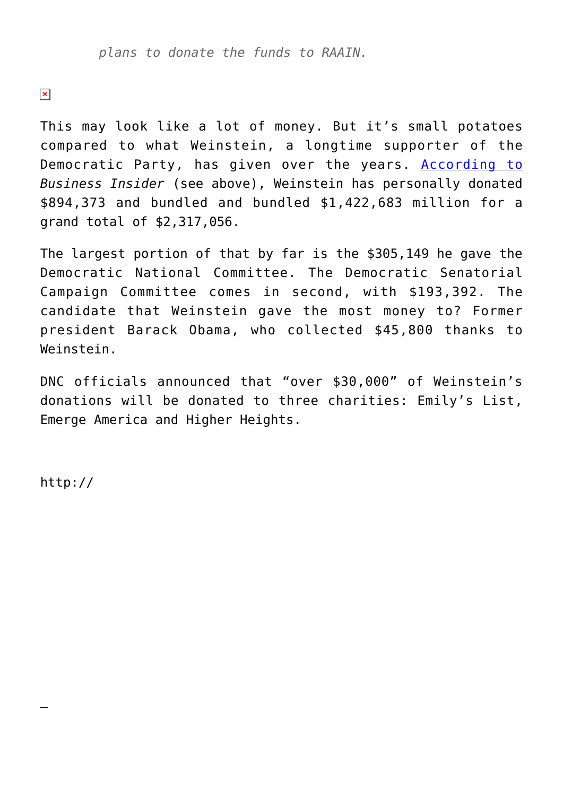$\pmb{\times}$ 

This may look like a lot of money. But it's small potatoes compared to what Weinstein, a longtime supporter of the Democratic Party, has given over the years. [According to](http://www.businessinsider.com/harvey-weinstein-political-donations-2017-10) *Business Insider* (see above), Weinstein has personally donated \$894,373 and bundled and bundled \$1,422,683 million for a grand total of \$2,317,056.

The largest portion of that by far is the \$305,149 he gave the Democratic National Committee. The Democratic Senatorial Campaign Committee comes in second, with \$193,392. The candidate that Weinstein gave the most money to? Former president Barack Obama, who collected \$45,800 thanks to Weinstein.

DNC officials announced that "over \$30,000" of Weinstein's donations will be donated to three charities: Emily's List, Emerge America and Higher Heights.

http://

–